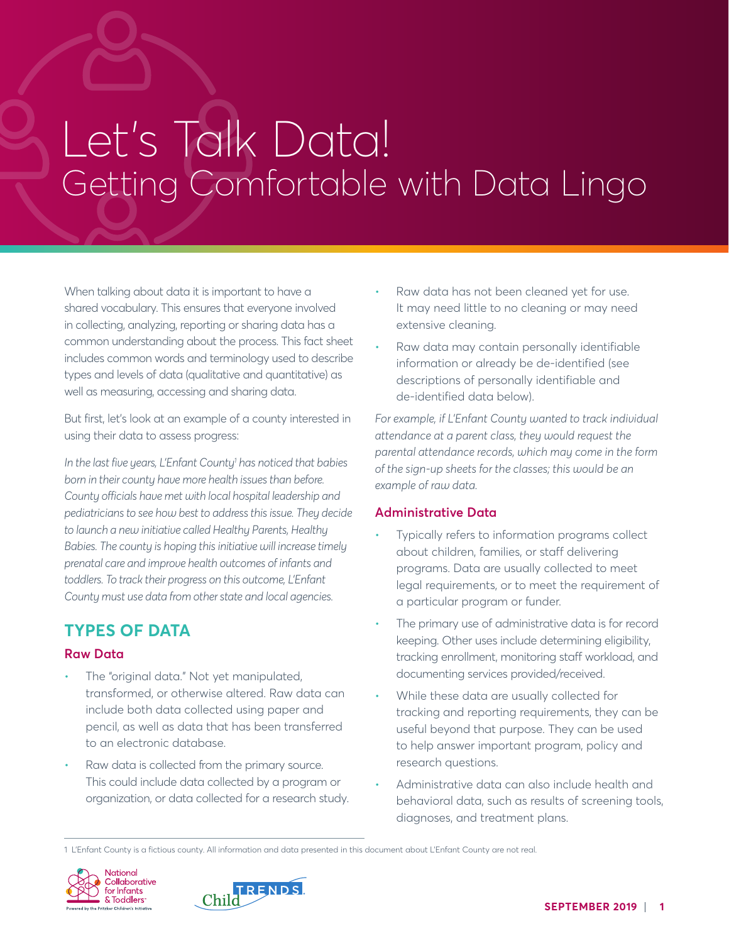# Let's Talk Data! Getting Comfortable with Data Lingo

When talking about data it is important to have a shared vocabulary. This ensures that everyone involved in collecting, analyzing, reporting or sharing data has a common understanding about the process. This fact sheet includes common words and terminology used to describe types and levels of data (qualitative and quantitative) as well as measuring, accessing and sharing data.

But first, let's look at an example of a county interested in using their data to assess progress:

*In the last five years, L'Enfant County1 has noticed that babies born in their county have more health issues than before. County officials have met with local hospital leadership and pediatricians to see how best to address this issue. They decide to launch a new initiative called Healthy Parents, Healthy Babies. The county is hoping this initiative will increase timely prenatal care and improve health outcomes of infants and toddlers. To track their progress on this outcome, L'Enfant County must use data from other state and local agencies.* 

# **TYPES OF DATA**

## **Raw Data**

- The "original data." Not yet manipulated, transformed, or otherwise altered. Raw data can include both data collected using paper and pencil, as well as data that has been transferred to an electronic database.
- Raw data is collected from the primary source. This could include data collected by a program or organization, or data collected for a research study.
- Raw data has not been cleaned yet for use. It may need little to no cleaning or may need extensive cleaning.
- Raw data may contain personally identifiable information or already be de-identified (see descriptions of personally identifiable and de-identified data below).

*For example, if L'Enfant County wanted to track individual attendance at a parent class, they would request the parental attendance records, which may come in the form of the sign-up sheets for the classes; this would be an example of raw data.* 

# **Administrative Data**

- Typically refers to information programs collect about children, families, or staff delivering programs. Data are usually collected to meet legal requirements, or to meet the requirement of a particular program or funder.
- The primary use of administrative data is for record keeping. Other uses include determining eligibility, tracking enrollment, monitoring staff workload, and documenting services provided/received.
- While these data are usually collected for tracking and reporting requirements, they can be useful beyond that purpose. They can be used to help answer important program, policy and research questions.
- Administrative data can also include health and behavioral data, such as results of screening tools, diagnoses, and treatment plans.

<sup>1</sup> L'Enfant County is a fictious county. All information and data presented in this document about L'Enfant County are not real.



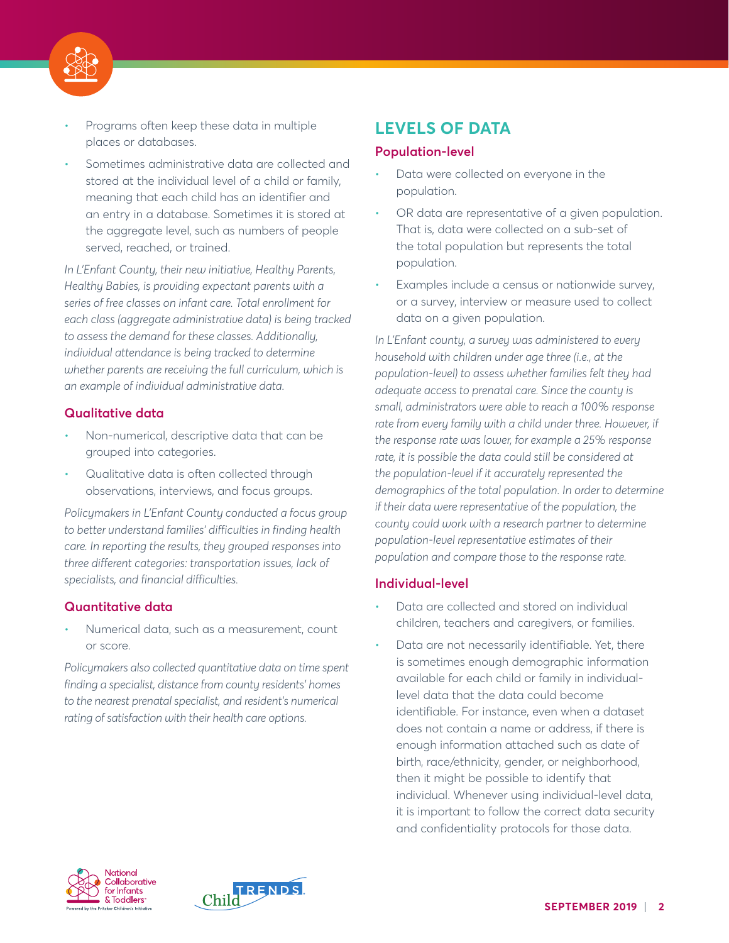

- Programs often keep these data in multiple places or databases.
- Sometimes administrative data are collected and stored at the individual level of a child or family, meaning that each child has an identifier and an entry in a database. Sometimes it is stored at the aggregate level, such as numbers of people served, reached, or trained.

*In L'Enfant County, their new initiative, Healthy Parents, Healthy Babies, is providing expectant parents with a series of free classes on infant care. Total enrollment for each class (aggregate administrative data) is being tracked to assess the demand for these classes. Additionally, individual attendance is being tracked to determine whether parents are receiving the full curriculum, which is an example of individual administrative data.* 

## **Qualitative data**

- Non-numerical, descriptive data that can be grouped into categories.
- Qualitative data is often collected through observations, interviews, and focus groups.

*Policymakers in L'Enfant County conducted a focus group to better understand families' difficulties in finding health care. In reporting the results, they grouped responses into three different categories: transportation issues, lack of specialists, and financial difficulties.*

# **Quantitative data**

• Numerical data, such as a measurement, count or score.

*Policymakers also collected quantitative data on time spent finding a specialist, distance from county residents' homes to the nearest prenatal specialist, and resident's numerical rating of satisfaction with their health care options.*

# **LEVELS OF DATA**

#### **Population-level**

- Data were collected on everyone in the population.
- OR data are representative of a given population. That is, data were collected on a sub-set of the total population but represents the total population.
- Examples include a census or nationwide survey, or a survey, interview or measure used to collect data on a given population.

*In L'Enfant county, a survey was administered to every household with children under age three (i.e., at the population-level) to assess whether families felt they had adequate access to prenatal care. Since the county is small, administrators were able to reach a 100% response rate from every family with a child under three. However, if the response rate was lower, for example a 25% response rate, it is possible the data could still be considered at the population-level if it accurately represented the demographics of the total population. In order to determine if their data were representative of the population, the county could work with a research partner to determine population-level representative estimates of their population and compare those to the response rate.*

## **Individual-level**

- Data are collected and stored on individual children, teachers and caregivers, or families.
- Data are not necessarily identifiable. Yet, there is sometimes enough demographic information available for each child or family in individuallevel data that the data could become identifiable. For instance, even when a dataset does not contain a name or address, if there is enough information attached such as date of birth, race/ethnicity, gender, or neighborhood, then it might be possible to identify that individual. Whenever using individual-level data, it is important to follow the correct data security and confidentiality protocols for those data.



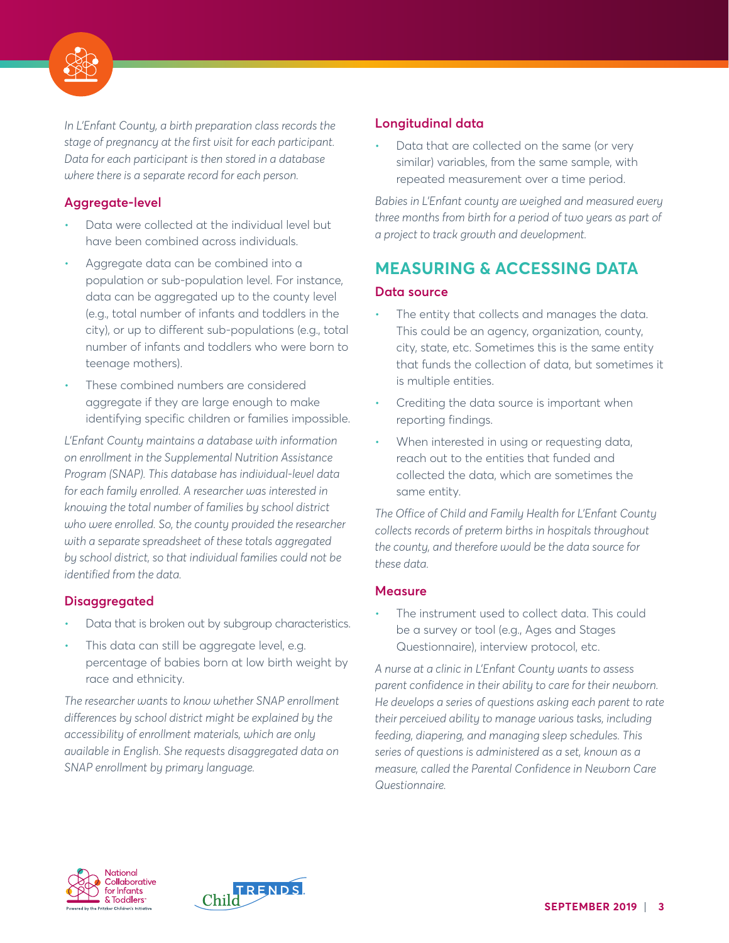

*In L'Enfant County, a birth preparation class records the stage of pregnancy at the first visit for each participant. Data for each participant is then stored in a database where there is a separate record for each person.* 

# **Aggregate-level**

- Data were collected at the individual level but have been combined across individuals.
- Aggregate data can be combined into a population or sub-population level. For instance, data can be aggregated up to the county level (e.g., total number of infants and toddlers in the city), or up to different sub-populations (e.g., total number of infants and toddlers who were born to teenage mothers).
- These combined numbers are considered aggregate if they are large enough to make identifying specific children or families impossible.

*L'Enfant County maintains a database with information on enrollment in the Supplemental Nutrition Assistance Program (SNAP). This database has individual-level data for each family enrolled. A researcher was interested in knowing the total number of families by school district who were enrolled. So, the county provided the researcher with a separate spreadsheet of these totals aggregated by school district, so that individual families could not be identified from the data.*

# **Disaggregated**

- Data that is broken out by subgroup characteristics.
- This data can still be aggregate level, e.g. percentage of babies born at low birth weight by race and ethnicity.

*The researcher wants to know whether SNAP enrollment differences by school district might be explained by the accessibility of enrollment materials, which are only available in English. She requests disaggregated data on SNAP enrollment by primary language.*

# **Longitudinal data**

• Data that are collected on the same (or very similar) variables, from the same sample, with repeated measurement over a time period.

*Babies in L'Enfant county are weighed and measured every three months from birth for a period of two years as part of a project to track growth and development.*

# **MEASURING & ACCESSING DATA**

## **Data source**

- The entity that collects and manages the data. This could be an agency, organization, county, city, state, etc. Sometimes this is the same entity that funds the collection of data, but sometimes it is multiple entities.
- Crediting the data source is important when reporting findings.
- When interested in using or requesting data, reach out to the entities that funded and collected the data, which are sometimes the same entity.

*The Office of Child and Family Health for L'Enfant County collects records of preterm births in hospitals throughout the county, and therefore would be the data source for these data.* 

## **Measure**

The instrument used to collect data. This could be a survey or tool (e.g., Ages and Stages Questionnaire), interview protocol, etc.

*A nurse at a clinic in L'Enfant County wants to assess parent confidence in their ability to care for their newborn. He develops a series of questions asking each parent to rate their perceived ability to manage various tasks, including feeding, diapering, and managing sleep schedules. This series of questions is administered as a set, known as a measure, called the Parental Confidence in Newborn Care Questionnaire.*



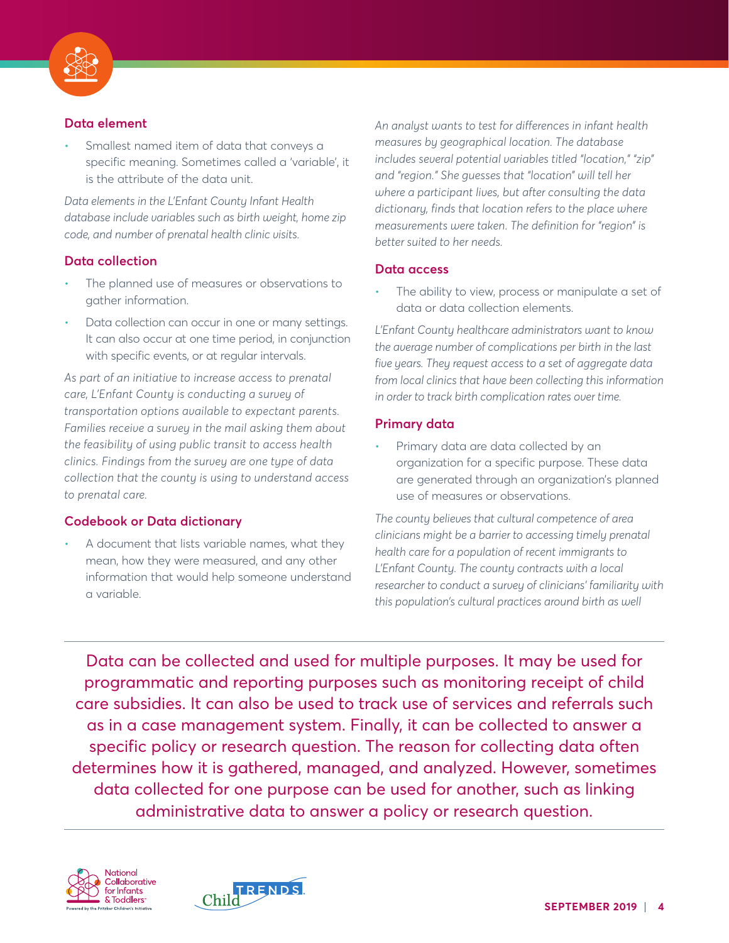

# **Data element**

• Smallest named item of data that conveys a specific meaning. Sometimes called a 'variable', it is the attribute of the data unit.

*Data elements in the L'Enfant County Infant Health database include variables such as birth weight, home zip code, and number of prenatal health clinic visits.*

# **Data collection**

- The planned use of measures or observations to gather information.
- Data collection can occur in one or many settings. It can also occur at one time period, in conjunction with specific events, or at regular intervals.

*As part of an initiative to increase access to prenatal care, L'Enfant County is conducting a survey of transportation options available to expectant parents. Families receive a survey in the mail asking them about the feasibility of using public transit to access health clinics. Findings from the survey are one type of data collection that the county is using to understand access to prenatal care.*

# **Codebook or Data dictionary**

• A document that lists variable names, what they mean, how they were measured, and any other information that would help someone understand a variable.

*An analyst wants to test for differences in infant health measures by geographical location. The database includes several potential variables titled "location," "zip" and "region." She guesses that "location" will tell her where a participant lives, but after consulting the data dictionary, finds that location refers to the place where measurements were taken. The definition for "region" is better suited to her needs.* 

## **Data access**

The ability to view, process or manipulate a set of data or data collection elements.

*L'Enfant County healthcare administrators want to know the average number of complications per birth in the last five years. They request access to a set of aggregate data from local clinics that have been collecting this information in order to track birth complication rates over time.*

# **Primary data**

• Primary data are data collected by an organization for a specific purpose. These data are generated through an organization's planned use of measures or observations.

*The county believes that cultural competence of area clinicians might be a barrier to accessing timely prenatal health care for a population of recent immigrants to L'Enfant County. The county contracts with a local researcher to conduct a survey of clinicians' familiarity with this population's cultural practices around birth as well* 

Data can be collected and used for multiple purposes. It may be used for programmatic and reporting purposes such as monitoring receipt of child care subsidies. It can also be used to track use of services and referrals such as in a case management system. Finally, it can be collected to answer a specific policy or research question. The reason for collecting data often determines how it is gathered, managed, and analyzed. However, sometimes data collected for one purpose can be used for another, such as linking administrative data to answer a policy or research question.



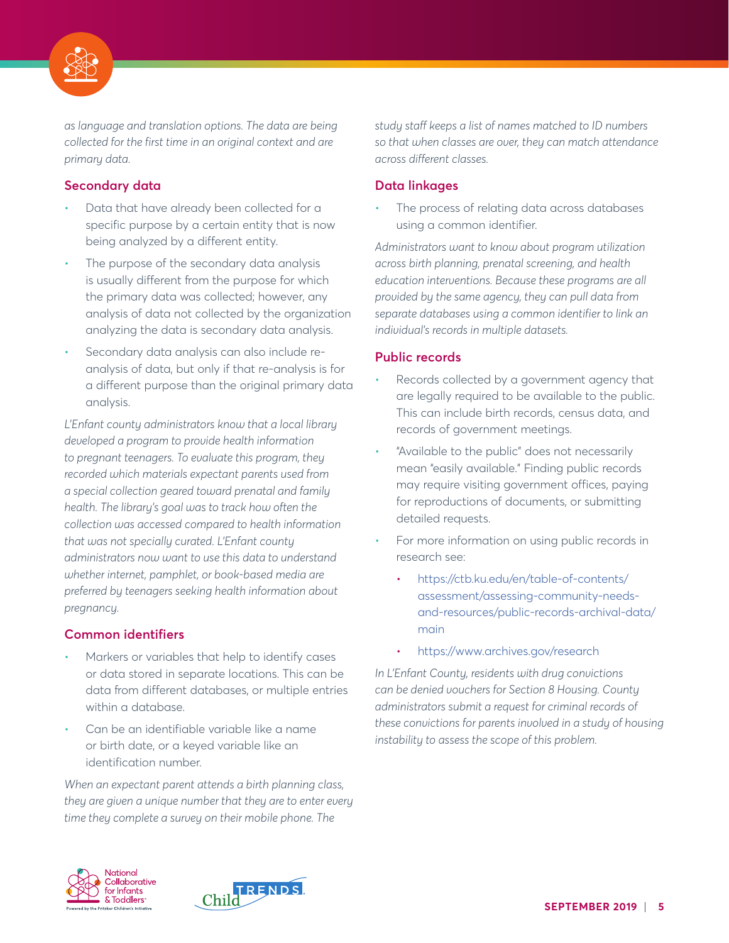

*as language and translation options. The data are being collected for the first time in an original context and are primary data.*

# **Secondary data**

- Data that have already been collected for a specific purpose by a certain entity that is now being analyzed by a different entity.
- The purpose of the secondary data analysis is usually different from the purpose for which the primary data was collected; however, any analysis of data not collected by the organization analyzing the data is secondary data analysis.
- Secondary data analysis can also include reanalysis of data, but only if that re-analysis is for a different purpose than the original primary data analysis.

*L'Enfant county administrators know that a local library developed a program to provide health information to pregnant teenagers. To evaluate this program, they recorded which materials expectant parents used from a special collection geared toward prenatal and family health. The library's goal was to track how often the collection was accessed compared to health information that was not specially curated. L'Enfant county administrators now want to use this data to understand whether internet, pamphlet, or book-based media are preferred by teenagers seeking health information about pregnancy.*

# **Common identifiers**

- Markers or variables that help to identify cases or data stored in separate locations. This can be data from different databases, or multiple entries within a database.
- Can be an identifiable variable like a name or birth date, or a keyed variable like an identification number.

*When an expectant parent attends a birth planning class, they are given a unique number that they are to enter every time they complete a survey on their mobile phone. The* 

*study staff keeps a list of names matched to ID numbers so that when classes are over, they can match attendance across different classes.*

# **Data linkages**

The process of relating data across databases using a common identifier.

*Administrators want to know about program utilization across birth planning, prenatal screening, and health education interventions. Because these programs are all provided by the same agency, they can pull data from separate databases using a common identifier to link an individual's records in multiple datasets.*

## **Public records**

- Records collected by a government agency that are legally required to be available to the public. This can include birth records, census data, and records of government meetings.
- "Available to the public" does not necessarily mean "easily available." Finding public records may require visiting government offices, paying for reproductions of documents, or submitting detailed requests.
- For more information on using public records in research see:
	- [https://ctb.ku.edu/en/table-of-contents/](https://ctb.ku.edu/en/table-of-contents/assessment/assessing-community-needs-and-resources/public-records-archival-data/main) [assessment/assessing-community-needs](https://ctb.ku.edu/en/table-of-contents/assessment/assessing-community-needs-and-resources/public-records-archival-data/main)[and-resources/public-records-archival-data/](https://ctb.ku.edu/en/table-of-contents/assessment/assessing-community-needs-and-resources/public-records-archival-data/main) [main](https://ctb.ku.edu/en/table-of-contents/assessment/assessing-community-needs-and-resources/public-records-archival-data/main)
	- <https://www.archives.gov/research>

*In L'Enfant County, residents with drug convictions can be denied vouchers for Section 8 Housing. County administrators submit a request for criminal records of these convictions for parents involved in a study of housing instability to assess the scope of this problem.* 



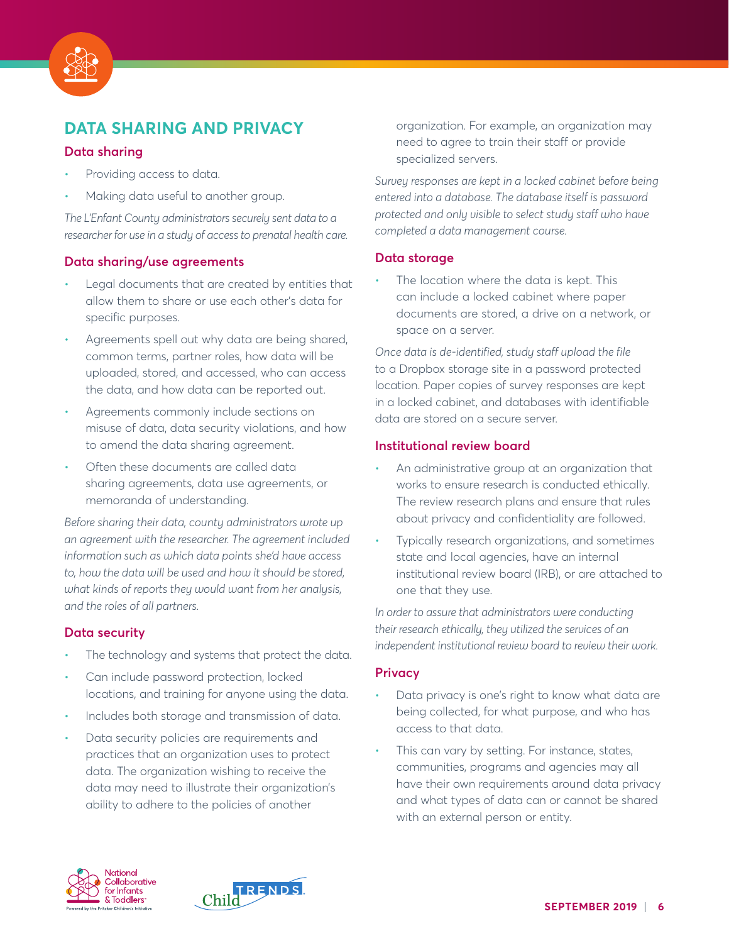

# **DATA SHARING AND PRIVACY**

#### **Data sharing**

- Providing access to data.
- Making data useful to another group.

*The L'Enfant County administrators securely sent data to a researcher for use in a study of access to prenatal health care.*

#### **Data sharing/use agreements**

- Legal documents that are created by entities that allow them to share or use each other's data for specific purposes.
- Agreements spell out why data are being shared, common terms, partner roles, how data will be uploaded, stored, and accessed, who can access the data, and how data can be reported out.
- Agreements commonly include sections on misuse of data, data security violations, and how to amend the data sharing agreement.
- Often these documents are called data sharing agreements, data use agreements, or memoranda of understanding.

*Before sharing their data, county administrators wrote up an agreement with the researcher. The agreement included information such as which data points she'd have access to, how the data will be used and how it should be stored, what kinds of reports they would want from her analysis, and the roles of all partners.*

## **Data security**

- The technology and systems that protect the data.
- Can include password protection, locked locations, and training for anyone using the data.
- Includes both storage and transmission of data.
- Data security policies are requirements and practices that an organization uses to protect data. The organization wishing to receive the data may need to illustrate their organization's ability to adhere to the policies of another

organization. For example, an organization may need to agree to train their staff or provide specialized servers.

*Survey responses are kept in a locked cabinet before being entered into a database. The database itself is password protected and only visible to select study staff who have completed a data management course.*

#### **Data storage**

The location where the data is kept. This can include a locked cabinet where paper documents are stored, a drive on a network, or space on a server.

*Once data is de-identified, study staff upload the file*  to a Dropbox storage site in a password protected location. Paper copies of survey responses are kept in a locked cabinet, and databases with identifiable data are stored on a secure server.

#### **Institutional review board**

- An administrative group at an organization that works to ensure research is conducted ethically. The review research plans and ensure that rules about privacy and confidentiality are followed.
- Typically research organizations, and sometimes state and local agencies, have an internal institutional review board (IRB), or are attached to one that they use.

*In order to assure that administrators were conducting their research ethically, they utilized the services of an independent institutional review board to review their work.*

#### **Privacy**

- Data privacy is one's right to know what data are being collected, for what purpose, and who has access to that data.
- This can vary by setting. For instance, states, communities, programs and agencies may all have their own requirements around data privacy and what types of data can or cannot be shared with an external person or entity.



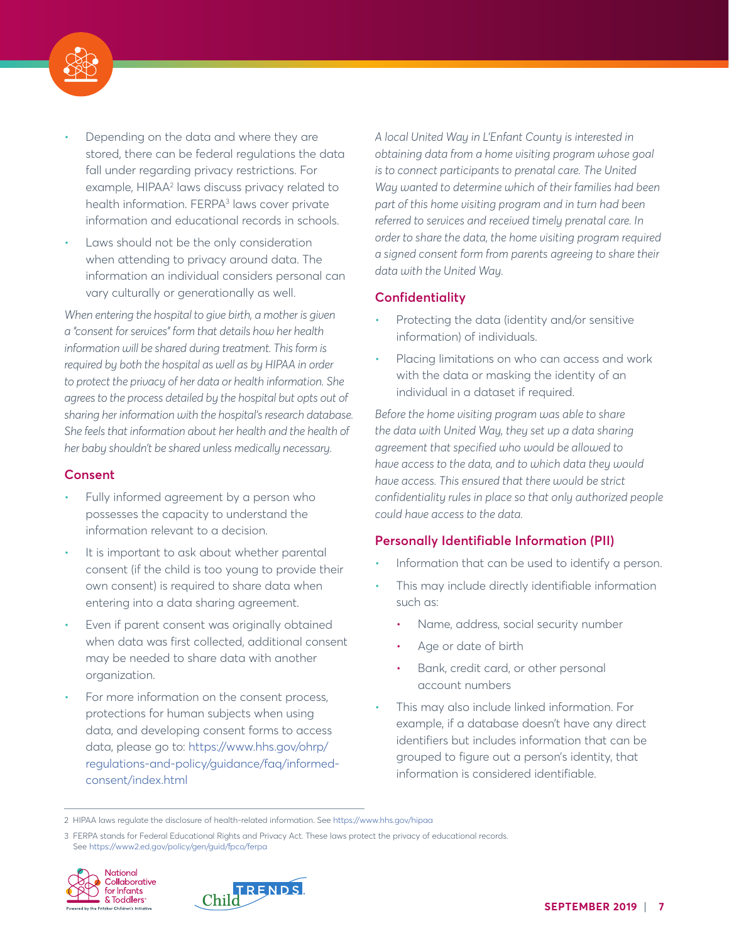

- Depending on the data and where they are stored, there can be federal regulations the data fall under regarding privacy restrictions. For example, HIPAA<sup>2</sup> laws discuss privacy related to health information. FERPA<sup>3</sup> laws cover private information and educational records in schools.
- Laws should not be the only consideration when attending to privacy around data. The information an individual considers personal can vary culturally or generationally as well.

*When entering the hospital to give birth, a mother is given a "consent for services" form that details how her health information will be shared during treatment. This form is required by both the hospital as well as by HIPAA in order to protect the privacy of her data or health information. She agrees to the process detailed by the hospital but opts out of sharing her information with the hospital's research database. She feels that information about her health and the health of her baby shouldn't be shared unless medically necessary.* 

#### **Consent**

- Fully informed agreement by a person who possesses the capacity to understand the information relevant to a decision.
- It is important to ask about whether parental consent (if the child is too young to provide their own consent) is required to share data when entering into a data sharing agreement.
- Even if parent consent was originally obtained when data was first collected, additional consent may be needed to share data with another organization.
- For more information on the consent process, protections for human subjects when using data, and developing consent forms to access data, please go to: [https://www.hhs.gov/ohrp/](https://www.hhs.gov/ohrp/regulations-and-policy/guidance/faq/informed-consent/index.html) [regulations-and-policy/guidance/faq/informed](https://www.hhs.gov/ohrp/regulations-and-policy/guidance/faq/informed-consent/index.html)[consent/index.html](https://www.hhs.gov/ohrp/regulations-and-policy/guidance/faq/informed-consent/index.html)

*A local United Way in L'Enfant County is interested in obtaining data from a home visiting program whose goal is to connect participants to prenatal care. The United Way wanted to determine which of their families had been part of this home visiting program and in turn had been referred to services and received timely prenatal care. In order to share the data, the home visiting program required a signed consent form from parents agreeing to share their data with the United Way.*

# **Confidentiality**

- Protecting the data (identity and/or sensitive information) of individuals.
- Placing limitations on who can access and work with the data or masking the identity of an individual in a dataset if required.

*Before the home visiting program was able to share the data with United Way, they set up a data sharing agreement that specified who would be allowed to have access to the data, and to which data they would have access. This ensured that there would be strict confidentiality rules in place so that only authorized people could have access to the data.* 

## **Personally Identifiable Information (PII)**

- Information that can be used to identify a person.
- This may include directly identifiable information such as:
	- Name, address, social security number
	- Age or date of birth
	- Bank, credit card, or other personal account numbers
- This may also include linked information. For example, if a database doesn't have any direct identifiers but includes information that can be grouped to figure out a person's identity, that information is considered identifiable.

<sup>3</sup> FERPA stands for Federal Educational Rights and Privacy Act. These laws protect the privacy of educational records. See <https://www2.ed.gov/policy/gen/guid/fpco/ferpa>





<sup>2</sup> HIPAA laws regulate the disclosure of health-related information. See <https://www.hhs.gov/hipaa>